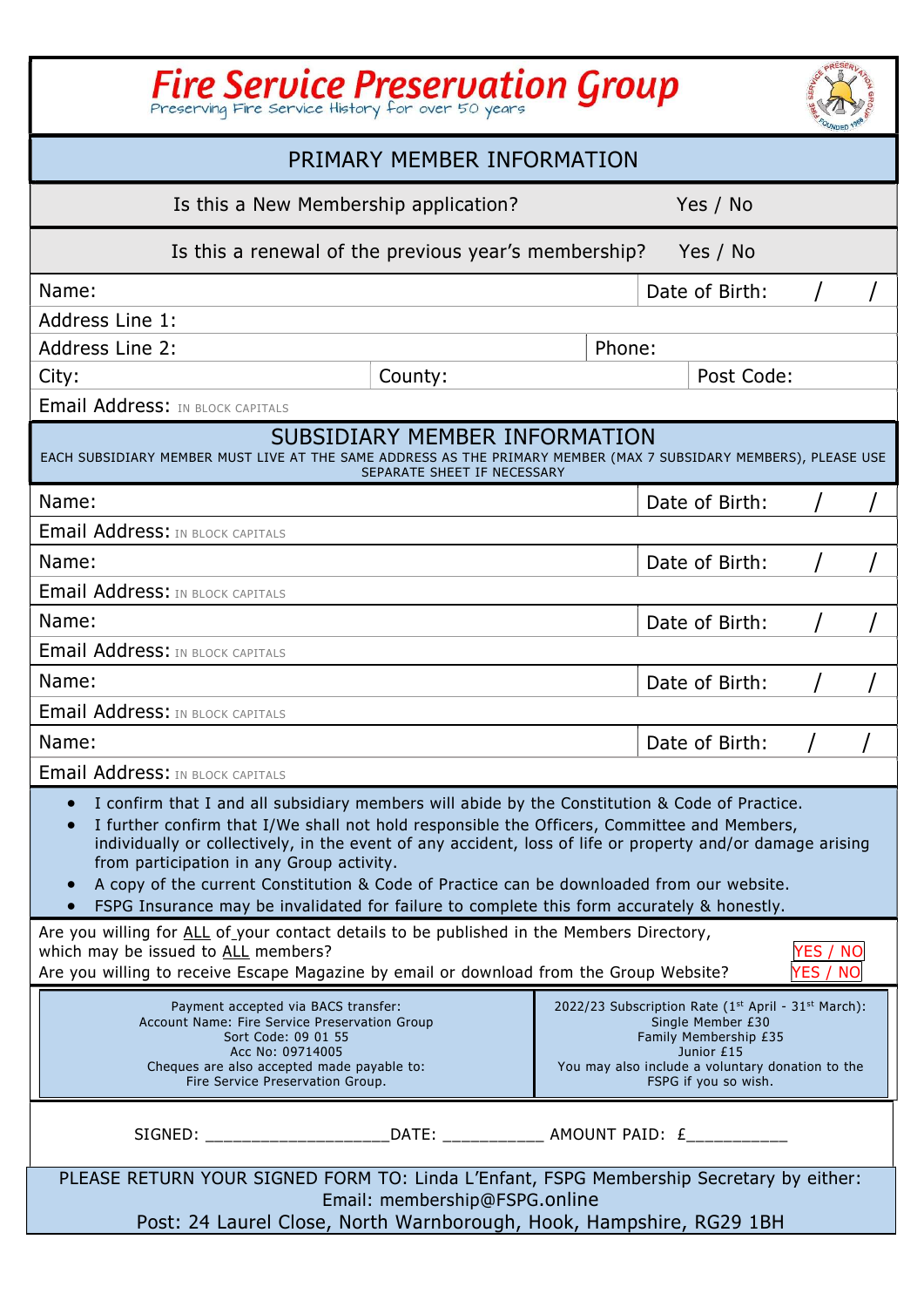| Fire Service Preservation Group                                                                                                                                                                                                                                                                                                                                                                                                                                                                                                                     |                |  |  |  |  |
|-----------------------------------------------------------------------------------------------------------------------------------------------------------------------------------------------------------------------------------------------------------------------------------------------------------------------------------------------------------------------------------------------------------------------------------------------------------------------------------------------------------------------------------------------------|----------------|--|--|--|--|
| PRIMARY MEMBER INFORMATION                                                                                                                                                                                                                                                                                                                                                                                                                                                                                                                          |                |  |  |  |  |
| Yes / No<br>Is this a New Membership application?                                                                                                                                                                                                                                                                                                                                                                                                                                                                                                   |                |  |  |  |  |
| Is this a renewal of the previous year's membership?                                                                                                                                                                                                                                                                                                                                                                                                                                                                                                | Yes / No       |  |  |  |  |
| Name:                                                                                                                                                                                                                                                                                                                                                                                                                                                                                                                                               | Date of Birth: |  |  |  |  |
| Address Line 1:                                                                                                                                                                                                                                                                                                                                                                                                                                                                                                                                     |                |  |  |  |  |
| Address Line 2:                                                                                                                                                                                                                                                                                                                                                                                                                                                                                                                                     | Phone:         |  |  |  |  |
| County:<br>City:                                                                                                                                                                                                                                                                                                                                                                                                                                                                                                                                    | Post Code:     |  |  |  |  |
| <b>Email Address: IN BLOCK CAPITALS</b>                                                                                                                                                                                                                                                                                                                                                                                                                                                                                                             |                |  |  |  |  |
| SUBSIDIARY MEMBER INFORMATION<br>EACH SUBSIDIARY MEMBER MUST LIVE AT THE SAME ADDRESS AS THE PRIMARY MEMBER (MAX 7 SUBSIDARY MEMBERS), PLEASE USE<br>SEPARATE SHEET IF NECESSARY                                                                                                                                                                                                                                                                                                                                                                    |                |  |  |  |  |
| Name:                                                                                                                                                                                                                                                                                                                                                                                                                                                                                                                                               | Date of Birth: |  |  |  |  |
| <b>Email Address: IN BLOCK CAPITALS</b>                                                                                                                                                                                                                                                                                                                                                                                                                                                                                                             |                |  |  |  |  |
| Name:<br>Date of Birth:                                                                                                                                                                                                                                                                                                                                                                                                                                                                                                                             |                |  |  |  |  |
| <b>Email Address: IN BLOCK CAPITALS</b>                                                                                                                                                                                                                                                                                                                                                                                                                                                                                                             |                |  |  |  |  |
| Name:                                                                                                                                                                                                                                                                                                                                                                                                                                                                                                                                               | Date of Birth: |  |  |  |  |
| <b>Email Address: IN BLOCK CAPITALS</b>                                                                                                                                                                                                                                                                                                                                                                                                                                                                                                             |                |  |  |  |  |
| Name:                                                                                                                                                                                                                                                                                                                                                                                                                                                                                                                                               | Date of Birth: |  |  |  |  |
| <b>Email Address: IN BLOCK CAPITALS</b>                                                                                                                                                                                                                                                                                                                                                                                                                                                                                                             |                |  |  |  |  |
| Name:<br>Date of Birth:                                                                                                                                                                                                                                                                                                                                                                                                                                                                                                                             |                |  |  |  |  |
| <b>Email Address: IN BLOCK CAPITALS</b>                                                                                                                                                                                                                                                                                                                                                                                                                                                                                                             |                |  |  |  |  |
| I confirm that I and all subsidiary members will abide by the Constitution & Code of Practice.<br>I further confirm that I/We shall not hold responsible the Officers, Committee and Members,<br>individually or collectively, in the event of any accident, loss of life or property and/or damage arising<br>from participation in any Group activity.<br>A copy of the current Constitution & Code of Practice can be downloaded from our website.<br>FSPG Insurance may be invalidated for failure to complete this form accurately & honestly. |                |  |  |  |  |
| Are you willing for ALL of your contact details to be published in the Members Directory,<br>which may be issued to ALL members?<br>Are you willing to receive Escape Magazine by email or download from the Group Website?                                                                                                                                                                                                                                                                                                                         |                |  |  |  |  |
| 2022/23 Subscription Rate (1st April - 31st March):<br>Payment accepted via BACS transfer:<br>Account Name: Fire Service Preservation Group<br>Single Member £30<br>Sort Code: 09 01 55<br>Family Membership £35<br>Acc No: 09714005<br>Junior £15<br>You may also include a voluntary donation to the<br>Cheques are also accepted made payable to:<br>FSPG if you so wish.<br>Fire Service Preservation Group.                                                                                                                                    |                |  |  |  |  |
|                                                                                                                                                                                                                                                                                                                                                                                                                                                                                                                                                     |                |  |  |  |  |
| PLEASE RETURN YOUR SIGNED FORM TO: Linda L'Enfant, FSPG Membership Secretary by either:<br>Email: membership@FSPG.online<br>Post: 24 Laurel Close, North Warnborough, Hook, Hampshire, RG29 1BH                                                                                                                                                                                                                                                                                                                                                     |                |  |  |  |  |
|                                                                                                                                                                                                                                                                                                                                                                                                                                                                                                                                                     |                |  |  |  |  |